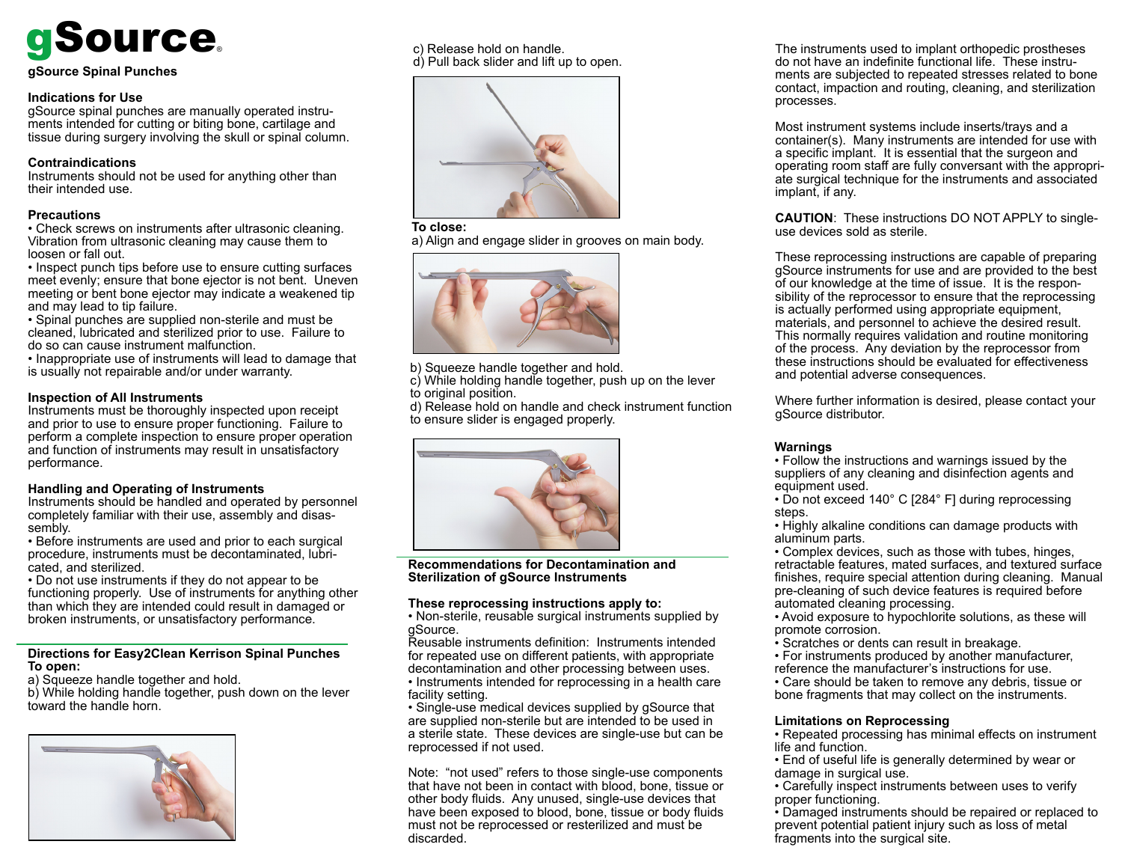# gSource®

## **gSource Spinal Punches**

## **Indications for Use**

gSource spinal punches are manually operated instruments intended for cutting or biting bone, cartilage and tissue during surgery involving the skull or spinal column.

## **Contraindications**

Instruments should not be used for anything other than their intended use.

## **Precautions**

• Check screws on instruments after ultrasonic cleaning. Vibration from ultrasonic cleaning may cause them to loosen or fall out.

• Inspect punch tips before use to ensure cutting surfaces meet evenly; ensure that bone ejector is not bent. Uneven meeting or bent bone ejector may indicate a weakened tip and may lead to tip failure.

• Spinal punches are supplied non-sterile and must be cleaned, lubricated and sterilized prior to use. Failure to do so can cause instrument malfunction.

• Inappropriate use of instruments will lead to damage that is usually not repairable and/or under warranty.

## **Inspection of All Instruments**

Instruments must be thoroughly inspected upon receipt and prior to use to ensure proper functioning. Failure to perform a complete inspection to ensure proper operation and function of instruments may result in unsatisfactory performance.

## **Handling and Operating of Instruments**

Instruments should be handled and operated by personnel completely familiar with their use, assembly and disassembly.

• Before instruments are used and prior to each surgical procedure, instruments must be decontaminated, lubricated, and sterilized.

• Do not use instruments if they do not appear to be functioning properly. Use of instruments for anything other than which they are intended could result in damaged or broken instruments, or unsatisfactory performance.

#### **Directions for Easy2Clean Kerrison Spinal Punches To open:**

a) Squeeze handle together and hold.

b) While holding handle together, push down on the lever toward the handle horn.



c) Release hold on handle. d) Pull back slider and lift up to open.



#### **To close:**

a) Align and engage slider in grooves on main body.



b) Squeeze handle together and hold.

c) While holding handle together, push up on the lever to original position.

d) Release hold on handle and check instrument function to ensure slider is engaged properly.



**Recommendations for Decontamination and Sterilization of gSource Instruments**

## **These reprocessing instructions apply to:**

• Non-sterile, reusable surgical instruments supplied by gSource.

Reusable instruments definition: Instruments intended for repeated use on different patients, with appropriate decontamination and other processing between uses. • Instruments intended for reprocessing in a health care facility setting.

• Single-use medical devices supplied by gSource that are supplied non-sterile but are intended to be used in a sterile state. These devices are single-use but can be reprocessed if not used.

Note: "not used" refers to those single-use components that have not been in contact with blood, bone, tissue or other body fluids. Any unused, single-use devices that have been exposed to blood, bone, tissue or body fluids must not be reprocessed or resterilized and must be discarded.

The instruments used to implant orthopedic prostheses do not have an indefinite functional life. These instruments are subjected to repeated stresses related to bone contact, impaction and routing, cleaning, and sterilization processes.

Most instrument systems include inserts/trays and a container(s). Many instruments are intended for use with a specific implant. It is essential that the surgeon and operating room staff are fully conversant with the appropriate surgical technique for the instruments and associated implant, if any.

**CAUTION**: These instructions DO NOT APPLY to singleuse devices sold as sterile.

These reprocessing instructions are capable of preparing gSource instruments for use and are provided to the best of our knowledge at the time of issue. It is the responsibility of the reprocessor to ensure that the reprocessing is actually performed using appropriate equipment, materials, and personnel to achieve the desired result. This normally requires validation and routine monitoring of the process. Any deviation by the reprocessor from these instructions should be evaluated for effectiveness and potential adverse consequences.

Where further information is desired, please contact your gSource distributor.

## **Warnings**

• Follow the instructions and warnings issued by the suppliers of any cleaning and disinfection agents and equipment used.

• Do not exceed 140° C [284° F] during reprocessing steps.

• Highly alkaline conditions can damage products with aluminum parts.

• Complex devices, such as those with tubes, hinges, retractable features, mated surfaces, and textured surface finishes, require special attention during cleaning. Manual pre-cleaning of such device features is required before automated cleaning processing.

• Avoid exposure to hypochlorite solutions, as these will promote corrosion.

- Scratches or dents can result in breakage.
- For instruments produced by another manufacturer,

reference the manufacturer's instructions for use. • Care should be taken to remove any debris, tissue or

bone fragments that may collect on the instruments.

## **Limitations on Reprocessing**

- Repeated processing has minimal effects on instrument life and function.
- End of useful life is generally determined by wear or damage in surgical use.
- Carefully inspect instruments between uses to verify proper functioning.

• Damaged instruments should be repaired or replaced to prevent potential patient injury such as loss of metal fragments into the surgical site.